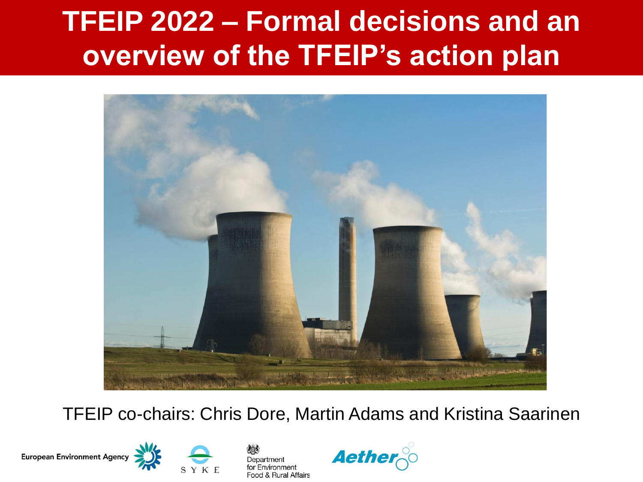#### **TFEIP 2022 – Formal decisions and an overview of the TFEIP's action plan**



#### TFEIP co-chairs: Chris Dore, Martin Adams and Kristina Saarinen

European Environment Agency





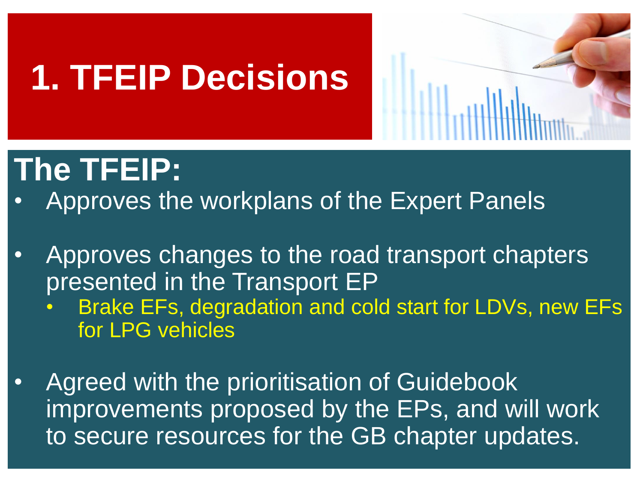

- Approves the workplans of the Expert Panels
- Approves changes to the road transport chapters presented in the Transport EP
	- Brake EFs, degradation and cold start for LDVs, new EFs for LPG vehicles
- Agreed with the prioritisation of Guidebook improvements proposed by the EPs, and will work to secure resources for the GB chapter updates.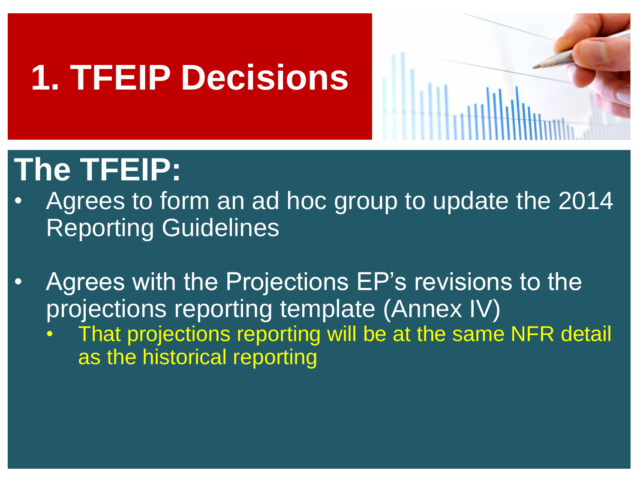

- Agrees to form an ad hoc group to update the 2014 Reporting Guidelines
- Agrees with the Projections EP's revisions to the projections reporting template (Annex IV)
	- That projections reporting will be at the same NFR detail as the historical reporting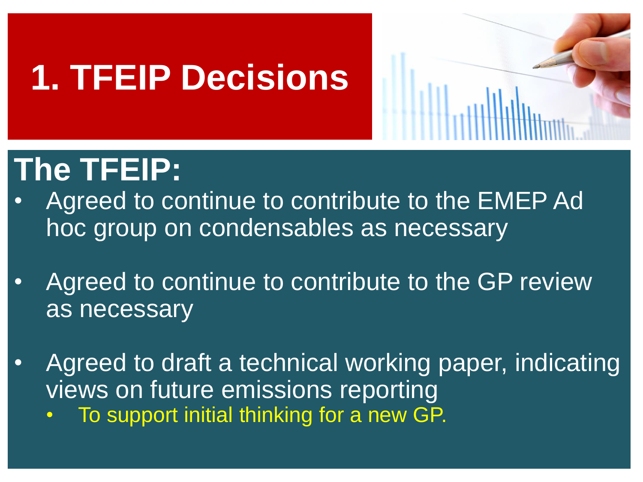

- Agreed to continue to contribute to the EMEP Ad hoc group on condensables as necessary
- Agreed to continue to contribute to the GP review as necessary
- Agreed to draft a technical working paper, indicating views on future emissions reporting • To support initial thinking for a new GP.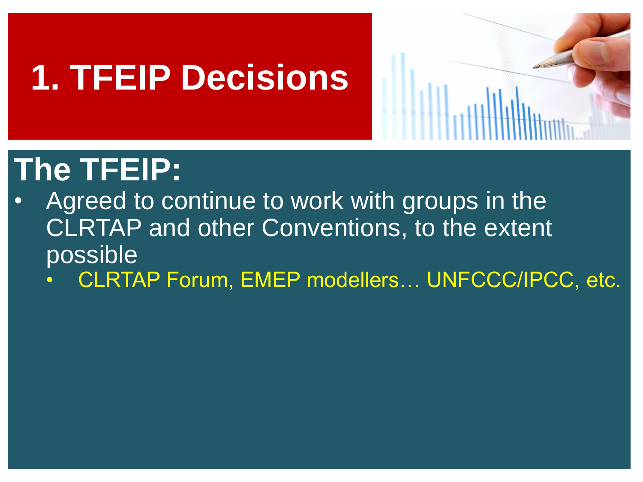

- Agreed to continue to work with groups in the CLRTAP and other Conventions, to the extent possible
	- CLRTAP Forum, EMEP modellers... UNFCCC/IPCC, etc.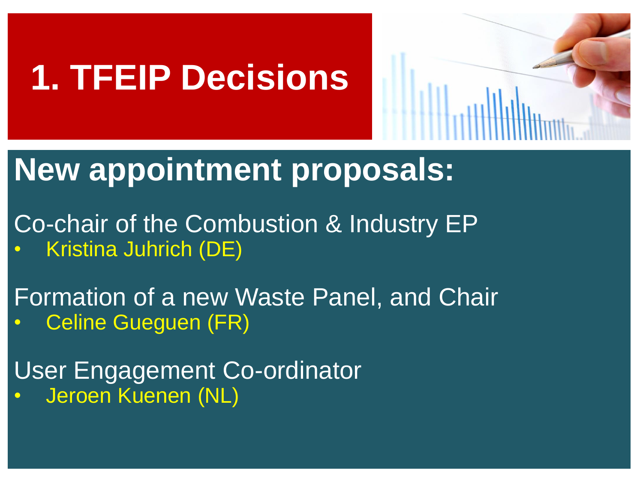

#### **New appointment proposals:**

Co-chair of the Combustion & Industry EP • Kristina Juhrich (DE)

Formation of a new Waste Panel, and Chair • Celine Gueguen (FR)

User Engagement Co-ordinator • Jeroen Kuenen (NL)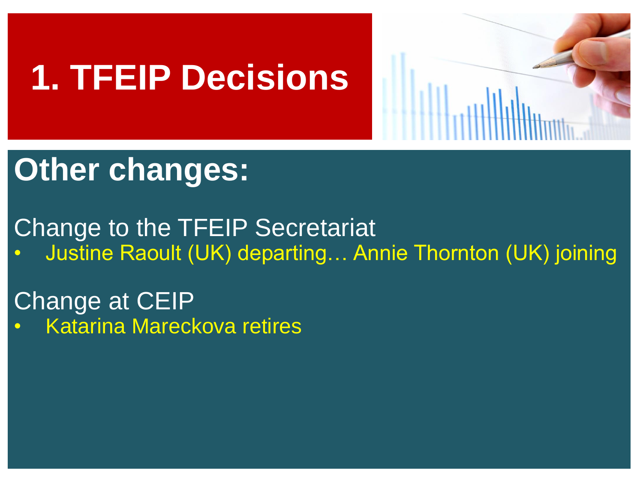

### **Other changes:**

Change to the TFEIP Secretariat • Justine Raoult (UK) departing… Annie Thornton (UK) joining

Change at CEIP • Katarina Mareckova retires